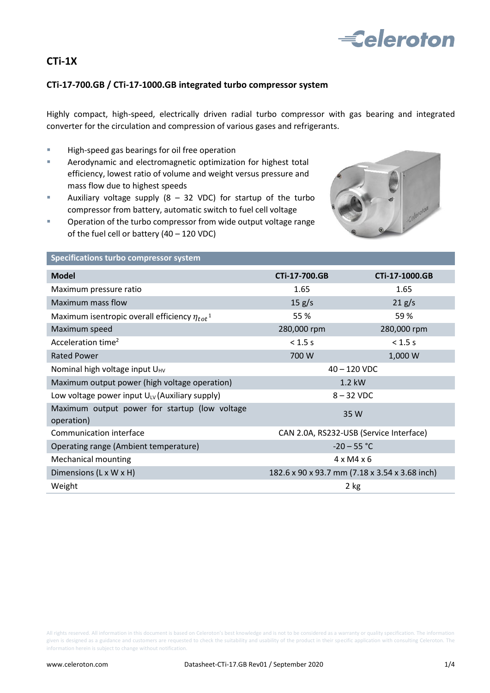

# **CTi-1X**

# **CTi-17-700.GB / CTi-17-1000.GB integrated turbo compressor system**

Highly compact, high-speed, electrically driven radial turbo compressor with gas bearing and integrated converter for the circulation and compression of various gases and refrigerants.

- **High-speed gas bearings for oil free operation**
- **EXEDENT** Aerodynamic and electromagnetic optimization for highest total efficiency, lowest ratio of volume and weight versus pressure and mass flow due to highest speeds
- Auxiliary voltage supply  $(8 32 \text{ VDC})$  for startup of the turbo compressor from battery, automatic switch to fuel cell voltage
- **Dearmary Operation of the turbo compressor from wide output voltage range** of the fuel cell or battery (40 – 120 VDC)



### **Specifications turbo compressor system**

| <b>Model</b>                                                    | CTi-17-700.GB                                  | CTi-17-1000.GB |
|-----------------------------------------------------------------|------------------------------------------------|----------------|
| Maximum pressure ratio                                          | 1.65                                           | 1.65           |
| Maximum mass flow                                               | 15 g/s                                         | 21 g/s         |
| Maximum isentropic overall efficiency $\eta_{tot}$ <sup>1</sup> | 55 %                                           | 59%            |
| Maximum speed                                                   | 280,000 rpm                                    | 280,000 rpm    |
| Acceleration time <sup>2</sup>                                  | $< 1.5$ s                                      | $< 1.5$ s      |
| <b>Rated Power</b>                                              | 700 W                                          | 1,000 W        |
| Nominal high voltage input U <sub>HV</sub>                      | $40 - 120$ VDC                                 |                |
| Maximum output power (high voltage operation)                   | $1.2$ kW                                       |                |
| Low voltage power input $U_{UV}$ (Auxiliary supply)             | $8 - 32$ VDC                                   |                |
| Maximum output power for startup (low voltage<br>operation)     | 35 W                                           |                |
| Communication interface                                         | CAN 2.0A, RS232-USB (Service Interface)        |                |
| Operating range (Ambient temperature)                           | $-20 - 55 °C$                                  |                |
| <b>Mechanical mounting</b>                                      | $4 \times M4 \times 6$                         |                |
| Dimensions (L x W x H)                                          | 182.6 x 90 x 93.7 mm (7.18 x 3.54 x 3.68 inch) |                |
| Weight                                                          | 2 kg                                           |                |

All rights reserved. All information in this document is based on Celeroton's best knowledge and is not to be considered as a warranty or quality specification. The information given is designed as a guidance and customers are requested to check the suitability and usability of the product in their specific application with consulting Celeroton. The information herein is subject to change without notification.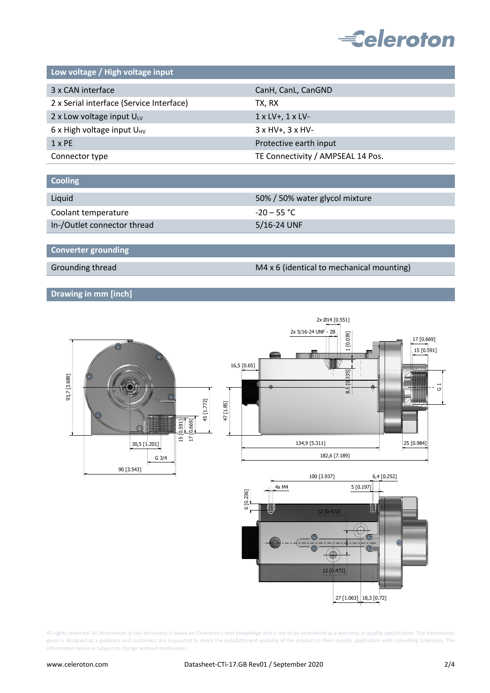

**Low voltage / High voltage input**

| CanH, CanL, CanGND                |  |
|-----------------------------------|--|
| TX, RX                            |  |
| $1 \times LV$ , $1 \times LV$     |  |
| $3 \times HV + 3 \times HV -$     |  |
| Protective earth input            |  |
| TE Connectivity / AMPSEAL 14 Pos. |  |
|                                   |  |

| <b>Cooling</b>              |                                |
|-----------------------------|--------------------------------|
|                             |                                |
| Liquid                      | 50% / 50% water glycol mixture |
| Coolant temperature         | $-20 - 55 °C$                  |
| In-/Outlet connector thread | 5/16-24 UNF                    |

**Converter grounding**

Grounding thread Grounding thread M4 x 6 (identical to mechanical mounting)

# **Drawing in mm [inch]**



All rights reserved. All information in this document is based on Celeroton's best knowledge and is not to be considered as a warranty or quality specification. The information given is designed as a guidance and customers are requested to check the suitability and usability of the product in their specific application with consulting Celeroton. The information herein is subject to change without notification.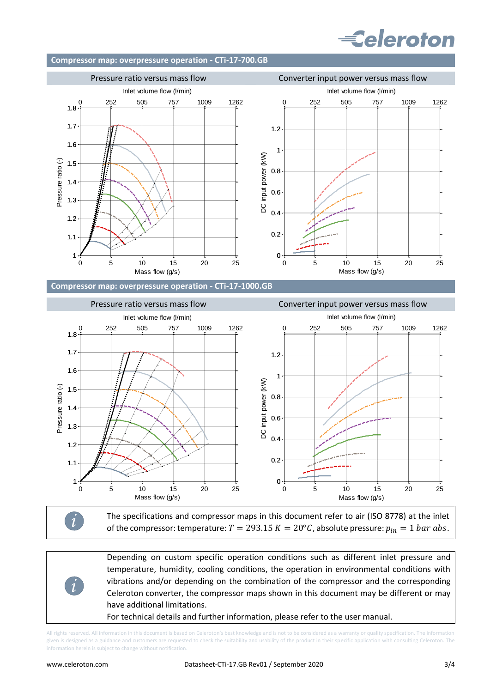# **Eeleroton**

### **Compressor map: overpressure operation - CTi-17-700.GB**



The specifications and compressor maps in this document refer to air (ISO 8778) at the inlet of the compressor: temperature:  $T = 293.15 K = 20^{\circ}C$ , absolute pressure:  $p_{in} = 1 bar abs$ .

Depending on custom specific operation conditions such as different inlet pressure and temperature, humidity, cooling conditions, the operation in environmental conditions with vibrations and/or depending on the combination of the compressor and the corresponding Celeroton converter, the compressor maps shown in this document may be different or may have additional limitations.

For technical details and further information, please refer to the user manual.

All rights reserved. All information in this document is based on Celeroton's best knowledge and is not to be considered as a warranty or quality specification. The inform given is designed as a guidance and customers are requested to check the suitability and usability of the product in their specific application with consulting Celeroton. The information herein is subject to change without notification.

*i*

*i*